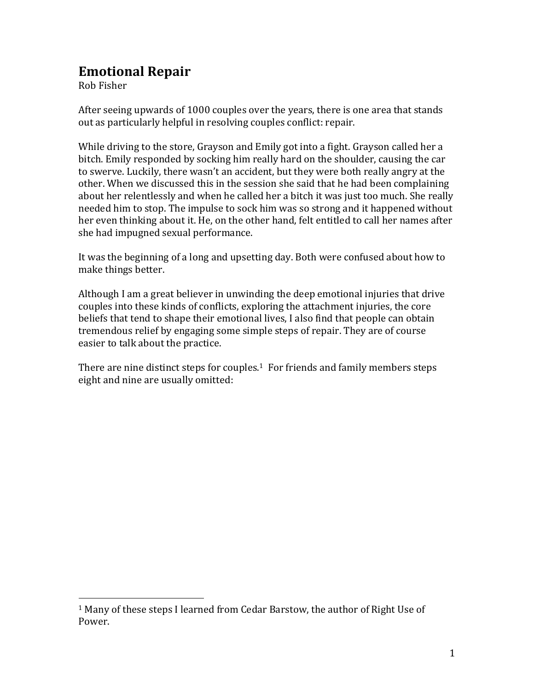## **Emotional Repair**

Rob Fisher

 $\overline{\phantom{a}}$ 

After seeing upwards of 1000 couples over the years, there is one area that stands out as particularly helpful in resolving couples conflict: repair.

While driving to the store, Grayson and Emily got into a fight. Grayson called her a bitch. Emily responded by socking him really hard on the shoulder, causing the car to swerve. Luckily, there wasn't an accident, but they were both really angry at the other. When we discussed this in the session she said that he had been complaining about her relentlessly and when he called her a bitch it was just too much. She really needed him to stop. The impulse to sock him was so strong and it happened without her even thinking about it. He, on the other hand, felt entitled to call her names after she had impugned sexual performance.

It was the beginning of a long and upsetting day. Both were confused about how to make things better.

Although I am a great believer in unwinding the deep emotional injuries that drive couples into these kinds of conflicts, exploring the attachment injuries, the core beliefs that tend to shape their emotional lives, I also find that people can obtain tremendous relief by engaging some simple steps of repair. They are of course easier to talk about the practice.

There are nine distinct steps for couples.<sup>1</sup> For friends and family members steps eight and nine are usually omitted:

<sup>1</sup> Many of these steps I learned from Cedar Barstow, the author of Right Use of Power.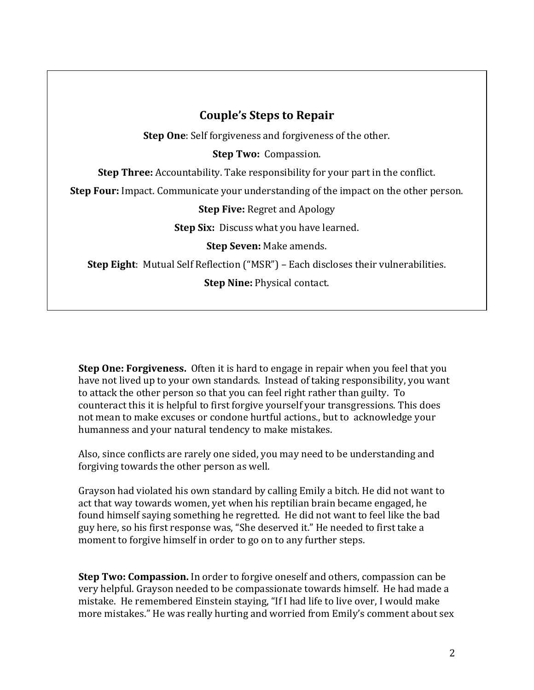## **Couple's Steps to Repair Step One**: Self forgiveness and forgiveness of the other. **Step Two:** Compassion. **Step Three:** Accountability. Take responsibility for your part in the conflict. **Step Four:** Impact. Communicate your understanding of the impact on the other person. **Step Five:** Regret and Apology **Step Six:** Discuss what you have learned. **Step Seven:** Make amends. **Step Eight**: Mutual Self Reflection ("MSR") – Each discloses their vulnerabilities. **Step Nine:** Physical contact.

**Step One: Forgiveness.** Often it is hard to engage in repair when you feel that you have not lived up to your own standards. Instead of taking responsibility, you want to attack the other person so that you can feel right rather than guilty. To counteract this it is helpful to first forgive yourself your transgressions. This does not mean to make excuses or condone hurtful actions., but to acknowledge your humanness and your natural tendency to make mistakes.

Also, since conflicts are rarely one sided, you may need to be understanding and forgiving towards the other person as well.

Grayson had violated his own standard by calling Emily a bitch. He did not want to act that way towards women, yet when his reptilian brain became engaged, he found himself saying something he regretted. He did not want to feel like the bad guy here, so his first response was, "She deserved it." He needed to first take a moment to forgive himself in order to go on to any further steps.

**Step Two: Compassion.** In order to forgive oneself and others, compassion can be very helpful. Grayson needed to be compassionate towards himself. He had made a mistake. He remembered Einstein staying, "If I had life to live over, I would make more mistakes." He was really hurting and worried from Emily's comment about sex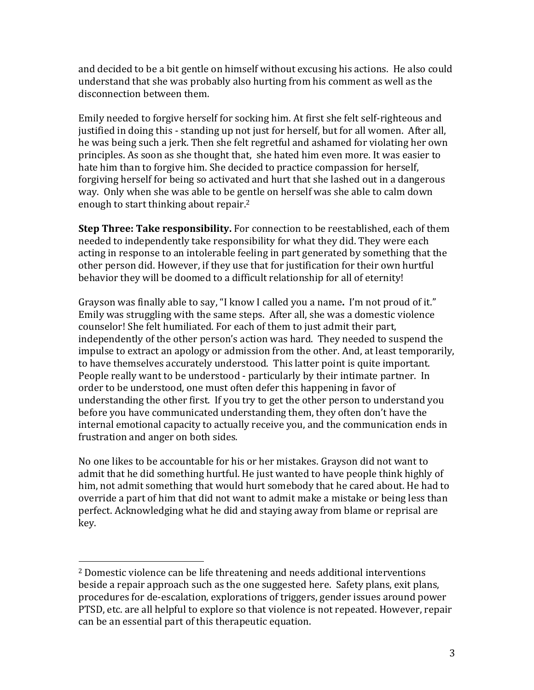and decided to be a bit gentle on himself without excusing his actions. He also could understand that she was probably also hurting from his comment as well as the disconnection between them.

Emily needed to forgive herself for socking him. At first she felt self-righteous and justified in doing this - standing up not just for herself, but for all women. After all, he was being such a jerk. Then she felt regretful and ashamed for violating her own principles. As soon as she thought that, she hated him even more. It was easier to hate him than to forgive him. She decided to practice compassion for herself, forgiving herself for being so activated and hurt that she lashed out in a dangerous way. Only when she was able to be gentle on herself was she able to calm down enough to start thinking about repair.<sup>2</sup>

**Step Three: Take responsibility.** For connection to be reestablished, each of them needed to independently take responsibility for what they did. They were each acting in response to an intolerable feeling in part generated by something that the other person did. However, if they use that for justification for their own hurtful behavior they will be doomed to a difficult relationship for all of eternity!

Grayson was finally able to say, "I know I called you a name**.** I'm not proud of it." Emily was struggling with the same steps. After all, she was a domestic violence counselor! She felt humiliated. For each of them to just admit their part, independently of the other person's action was hard. They needed to suspend the impulse to extract an apology or admission from the other. And, at least temporarily, to have themselves accurately understood. This latter point is quite important. People really want to be understood - particularly by their intimate partner. In order to be understood, one must often defer this happening in favor of understanding the other first. If you try to get the other person to understand you before you have communicated understanding them, they often don't have the internal emotional capacity to actually receive you, and the communication ends in frustration and anger on both sides.

No one likes to be accountable for his or her mistakes. Grayson did not want to admit that he did something hurtful. He just wanted to have people think highly of him, not admit something that would hurt somebody that he cared about. He had to override a part of him that did not want to admit make a mistake or being less than perfect. Acknowledging what he did and staying away from blame or reprisal are key.

l

<sup>2</sup> Domestic violence can be life threatening and needs additional interventions beside a repair approach such as the one suggested here. Safety plans, exit plans, procedures for de-escalation, explorations of triggers, gender issues around power PTSD, etc. are all helpful to explore so that violence is not repeated. However, repair can be an essential part of this therapeutic equation.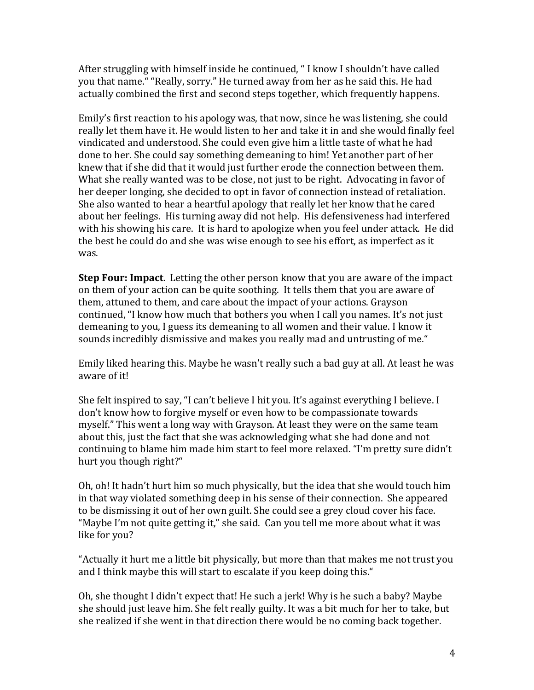After struggling with himself inside he continued, " I know I shouldn't have called you that name." "Really, sorry." He turned away from her as he said this. He had actually combined the first and second steps together, which frequently happens.

Emily's first reaction to his apology was, that now, since he was listening, she could really let them have it. He would listen to her and take it in and she would finally feel vindicated and understood. She could even give him a little taste of what he had done to her. She could say something demeaning to him! Yet another part of her knew that if she did that it would just further erode the connection between them. What she really wanted was to be close, not just to be right. Advocating in favor of her deeper longing, she decided to opt in favor of connection instead of retaliation. She also wanted to hear a heartful apology that really let her know that he cared about her feelings. His turning away did not help. His defensiveness had interfered with his showing his care. It is hard to apologize when you feel under attack. He did the best he could do and she was wise enough to see his effort, as imperfect as it was.

**Step Four: Impact**. Letting the other person know that you are aware of the impact on them of your action can be quite soothing. It tells them that you are aware of them, attuned to them, and care about the impact of your actions. Grayson continued, "I know how much that bothers you when I call you names. It's not just demeaning to you, I guess its demeaning to all women and their value. I know it sounds incredibly dismissive and makes you really mad and untrusting of me."

Emily liked hearing this. Maybe he wasn't really such a bad guy at all. At least he was aware of it!

She felt inspired to say, "I can't believe I hit you. It's against everything I believe. I don't know how to forgive myself or even how to be compassionate towards myself." This went a long way with Grayson. At least they were on the same team about this, just the fact that she was acknowledging what she had done and not continuing to blame him made him start to feel more relaxed. "I'm pretty sure didn't hurt you though right?"

Oh, oh! It hadn't hurt him so much physically, but the idea that she would touch him in that way violated something deep in his sense of their connection. She appeared to be dismissing it out of her own guilt. She could see a grey cloud cover his face. "Maybe I'm not quite getting it," she said. Can you tell me more about what it was like for you?

"Actually it hurt me a little bit physically, but more than that makes me not trust you and I think maybe this will start to escalate if you keep doing this."

Oh, she thought I didn't expect that! He such a jerk! Why is he such a baby? Maybe she should just leave him. She felt really guilty. It was a bit much for her to take, but she realized if she went in that direction there would be no coming back together.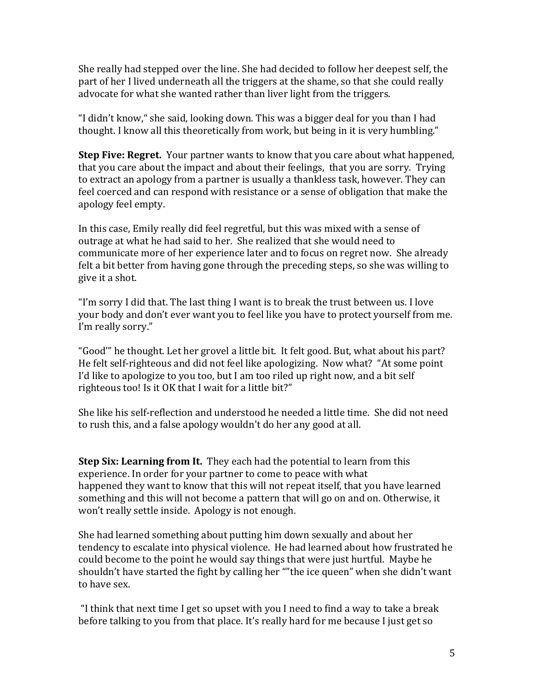She really had stepped over the line. She had decided to follow her deepest self, the part of her I lived underneath all the triggers at the shame, so that she could really advocate for what she wanted rather than liver light from the triggers.

"I didn't know," she said, looking down. This was a bigger deal for you than I had thought. I know all this theoretically from work, but being in it is very humbling."

**Step Five: Regret.** Your partner wants to know that you care about what happened, that you care about the impact and about their feelings, that you are sorry. Trying to extract an apology from a partner is usually a thankless task, however. They can feel coerced and can respond with resistance or a sense of obligation that make the apology feel empty.

In this case, Emily really did feel regretful, but this was mixed with a sense of outrage at what he had said to her. She realized that she would need to communicate more of her experience later and to focus on regret now. She already felt a bit better from having gone through the preceding steps, so she was willing to give it a shot.

"I'm sorry I did that. The last thing I want is to break the trust between us. I love your body and don't ever want you to feel like you have to protect yourself from me. I'm really sorry."

"Good'" he thought. Let her grovel a little bit. It felt good. But, what about his part? He felt self-righteous and did not feel like apologizing. Now what? "At some point I'd like to apologize to you too, but I am too riled up right now, and a bit self righteous too! Is it OK that I wait for a little bit?"

She like his self-reflection and understood he needed a little time. She did not need to rush this, and a false apology wouldn't do her any good at all.

**Step Six: Learning from It.** They each had the potential to learn from this experience. In order for your partner to come to peace with what happened they want to know that this will not repeat itself, that you have learned something and this will not become a pattern that will go on and on. Otherwise, it won't really settle inside. Apology is not enough.

She had learned something about putting him down sexually and about her tendency to escalate into physical violence. He had learned about how frustrated he could become to the point he would say things that were just hurtful. Maybe he shouldn't have started the fight by calling her ""the ice queen" when she didn't want to have sex.

"I think that next time I get so upset with you I need to find a way to take a break before talking to you from that place. It's really hard for me because I just get so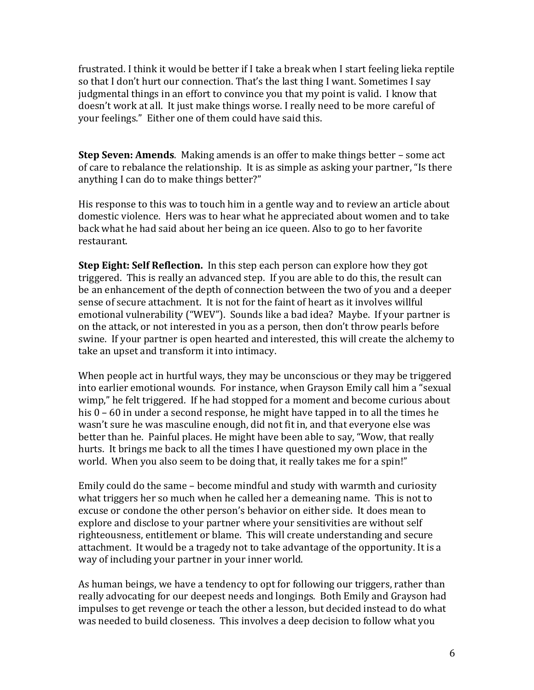frustrated. I think it would be better if I take a break when I start feeling lieka reptile so that I don't hurt our connection. That's the last thing I want. Sometimes I say judgmental things in an effort to convince you that my point is valid. I know that doesn't work at all. It just make things worse. I really need to be more careful of your feelings." Either one of them could have said this.

**Step Seven: Amends**. Making amends is an offer to make things better – some act of care to rebalance the relationship. It is as simple as asking your partner, "Is there anything I can do to make things better?"

His response to this was to touch him in a gentle way and to review an article about domestic violence. Hers was to hear what he appreciated about women and to take back what he had said about her being an ice queen. Also to go to her favorite restaurant.

**Step Eight: Self Reflection.** In this step each person can explore how they got triggered. This is really an advanced step. If you are able to do this, the result can be an enhancement of the depth of connection between the two of you and a deeper sense of secure attachment. It is not for the faint of heart as it involves willful emotional vulnerability ("WEV"). Sounds like a bad idea? Maybe. If your partner is on the attack, or not interested in you as a person, then don't throw pearls before swine. If your partner is open hearted and interested, this will create the alchemy to take an upset and transform it into intimacy.

When people act in hurtful ways, they may be unconscious or they may be triggered into earlier emotional wounds. For instance, when Grayson Emily call him a "sexual wimp," he felt triggered. If he had stopped for a moment and become curious about his 0 – 60 in under a second response, he might have tapped in to all the times he wasn't sure he was masculine enough, did not fit in, and that everyone else was better than he. Painful places. He might have been able to say, "Wow, that really hurts. It brings me back to all the times I have questioned my own place in the world. When you also seem to be doing that, it really takes me for a spin!"

Emily could do the same – become mindful and study with warmth and curiosity what triggers her so much when he called her a demeaning name. This is not to excuse or condone the other person's behavior on either side. It does mean to explore and disclose to your partner where your sensitivities are without self righteousness, entitlement or blame. This will create understanding and secure attachment. It would be a tragedy not to take advantage of the opportunity. It is a way of including your partner in your inner world.

As human beings, we have a tendency to opt for following our triggers, rather than really advocating for our deepest needs and longings. Both Emily and Grayson had impulses to get revenge or teach the other a lesson, but decided instead to do what was needed to build closeness. This involves a deep decision to follow what you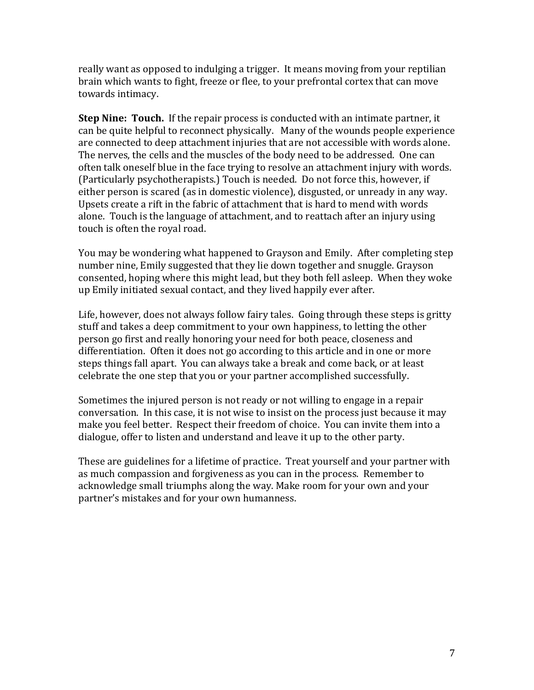really want as opposed to indulging a trigger. It means moving from your reptilian brain which wants to fight, freeze or flee, to your prefrontal cortex that can move towards intimacy.

**Step Nine: Touch.** If the repair process is conducted with an intimate partner, it can be quite helpful to reconnect physically. Many of the wounds people experience are connected to deep attachment injuries that are not accessible with words alone. The nerves, the cells and the muscles of the body need to be addressed. One can often talk oneself blue in the face trying to resolve an attachment injury with words. (Particularly psychotherapists.) Touch is needed. Do not force this, however, if either person is scared (as in domestic violence), disgusted, or unready in any way. Upsets create a rift in the fabric of attachment that is hard to mend with words alone. Touch is the language of attachment, and to reattach after an injury using touch is often the royal road.

You may be wondering what happened to Grayson and Emily. After completing step number nine, Emily suggested that they lie down together and snuggle. Grayson consented, hoping where this might lead, but they both fell asleep. When they woke up Emily initiated sexual contact, and they lived happily ever after.

Life, however, does not always follow fairy tales. Going through these steps is gritty stuff and takes a deep commitment to your own happiness, to letting the other person go first and really honoring your need for both peace, closeness and differentiation. Often it does not go according to this article and in one or more steps things fall apart. You can always take a break and come back, or at least celebrate the one step that you or your partner accomplished successfully.

Sometimes the injured person is not ready or not willing to engage in a repair conversation. In this case, it is not wise to insist on the process just because it may make you feel better. Respect their freedom of choice. You can invite them into a dialogue, offer to listen and understand and leave it up to the other party.

These are guidelines for a lifetime of practice. Treat yourself and your partner with as much compassion and forgiveness as you can in the process. Remember to acknowledge small triumphs along the way. Make room for your own and your partner's mistakes and for your own humanness.